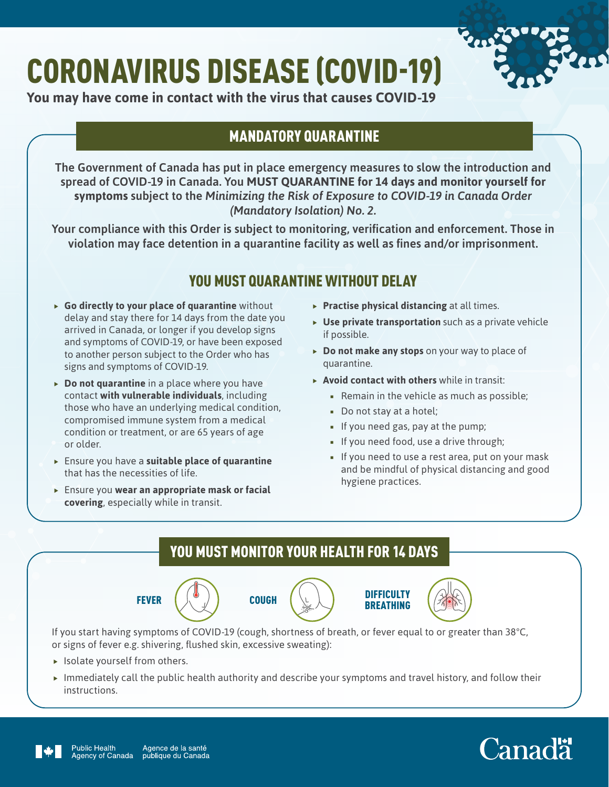# CORONAVIRUS DISEASE (COVID-19)



**You may have come in contact with the virus that causes COVID-19**

# MANDATORY QUARANTINE

The Government of Canada has put in place emergency measures to slow the introduction and spread of COVID-19 in Canada. You **MUST QUARANTINE for 14 days and monitor yourself for symptoms** subject to the *Minimizing the Risk of Exposure to COVID-19 in Canada Order (Mandatory Isolation) No. 2.*

Your compliance with this Order is subject to monitoring, verification and enforcement. Those in violation may face detention in a quarantine facility as well as fines and/or imprisonment.

# YOU MUST QUARANTINE WITHOUT DFI AV

- **Fo directly to your place of quarantine** without delay and stay there for 14 days from the date you arrived in Canada, or longer if you develop signs and symptoms of COVID-19, or have been exposed to another person subject to the Order who has signs and symptoms of COVID-19.
- **Po not quarantine** in a place where you have contact **with vulnerable individuals**, including those who have an underlying medical condition, compromised immune system from a medical condition or treatment, or are 65 years of age or older.
- **FILT** Ensure you have a **suitable place of quarantine** that has the necessities of life.
- **FILT** Ensure you wear an appropriate mask or facial **covering**, especially while in transit.
- **Practise physical distancing** at all times.
- **Use private transportation** such as a private vehicle if possible.
- **Po not make any stops** on your way to place of quarantine.
- **Avoid contact with others** while in transit:
	- **Remain in the vehicle as much as possible;**
	- Do not stay at a hotel:
	- If you need gas, pay at the pump;
	- If you need food, use a drive through;
	- If you need to use a rest area, put on your mask and be mindful of physical distancing and good hygiene practices.